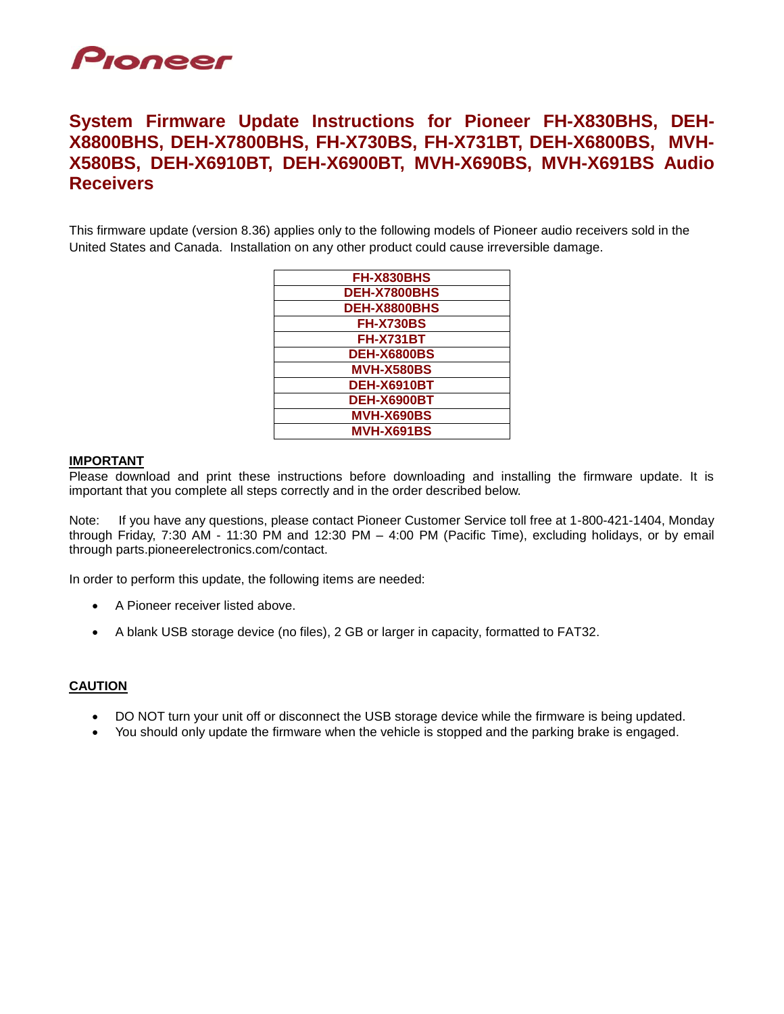

# **System Firmware Update Instructions for Pioneer FH-X830BHS, DEH-X8800BHS, DEH-X7800BHS, FH-X730BS, FH-X731BT, DEH-X6800BS, MVH-X580BS, DEH-X6910BT, DEH-X6900BT, MVH-X690BS, MVH-X691BS Audio Receivers**

This firmware update (version 8.36) applies only to the following models of Pioneer audio receivers sold in the United States and Canada. Installation on any other product could cause irreversible damage.

| FH-X830BHS         |
|--------------------|
| DEH-X7800BHS       |
| DEH-X8800BHS       |
| <b>FH-X730BS</b>   |
| <b>FH-X731BT</b>   |
| <b>DEH-X6800BS</b> |
| <b>MVH-X580BS</b>  |
| <b>DEH-X6910BT</b> |
| <b>DEH-X6900BT</b> |
| <b>MVH-X690BS</b>  |
| <b>MVH-X691BS</b>  |
|                    |

#### **IMPORTANT**

Please download and print these instructions before downloading and installing the firmware update. It is important that you complete all steps correctly and in the order described below.

Note: If you have any questions, please contact Pioneer Customer Service toll free at 1-800-421-1404, Monday through Friday, 7:30 AM - 11:30 PM and 12:30 PM – 4:00 PM (Pacific Time), excluding holidays, or by email through parts.pioneerelectronics.com/contact.

In order to perform this update, the following items are needed:

- A Pioneer receiver listed above.
- A blank USB storage device (no files), 2 GB or larger in capacity, formatted to FAT32.

### **CAUTION**

- DO NOT turn your unit off or disconnect the USB storage device while the firmware is being updated.
- You should only update the firmware when the vehicle is stopped and the parking brake is engaged.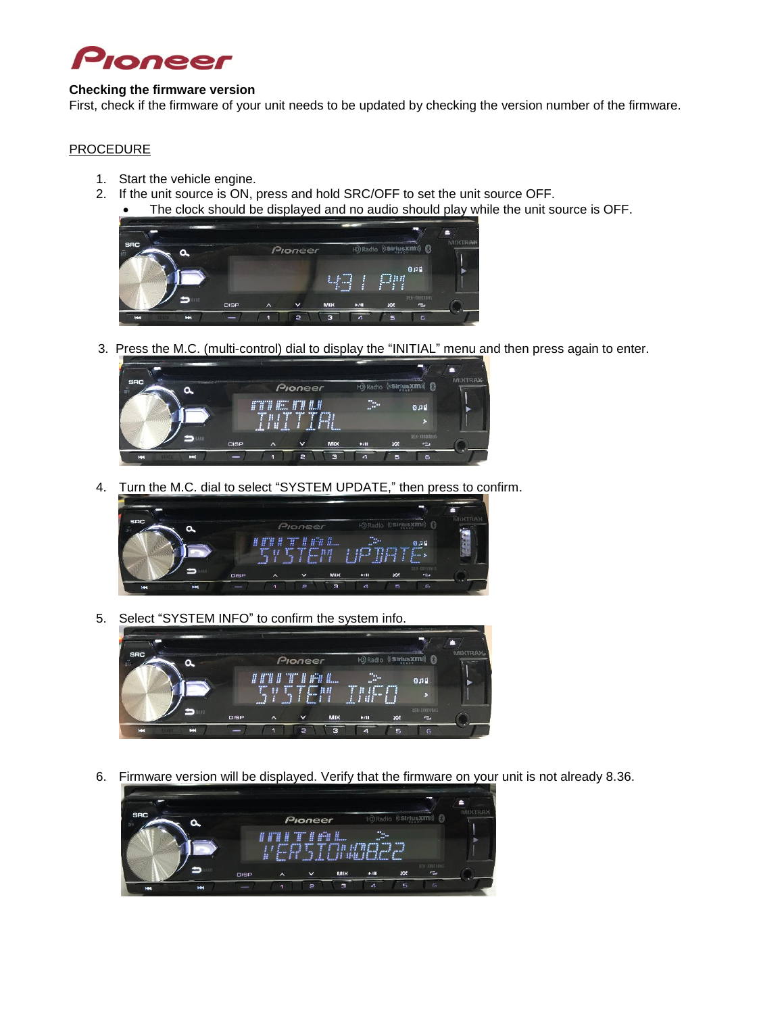

### **Checking the firmware version**

First, check if the firmware of your unit needs to be updated by checking the version number of the firmware.

## **PROCEDURE**

- 1. Start the vehicle engine.
- 2. If the unit source is ON, press and hold SRC/OFF to set the unit source OFF. The clock should be displayed and no audio should play while the unit source is OFF.



3. Press the M.C. (multi-control) dial to display the "INITIAL" menu and then press again to enter.



4. Turn the M.C. dial to select "SYSTEM UPDATE," then press to confirm.



5. Select "SYSTEM INFO" to confirm the system info.



6. Firmware version will be displayed. Verify that the firmware on your unit is not already 8.36.

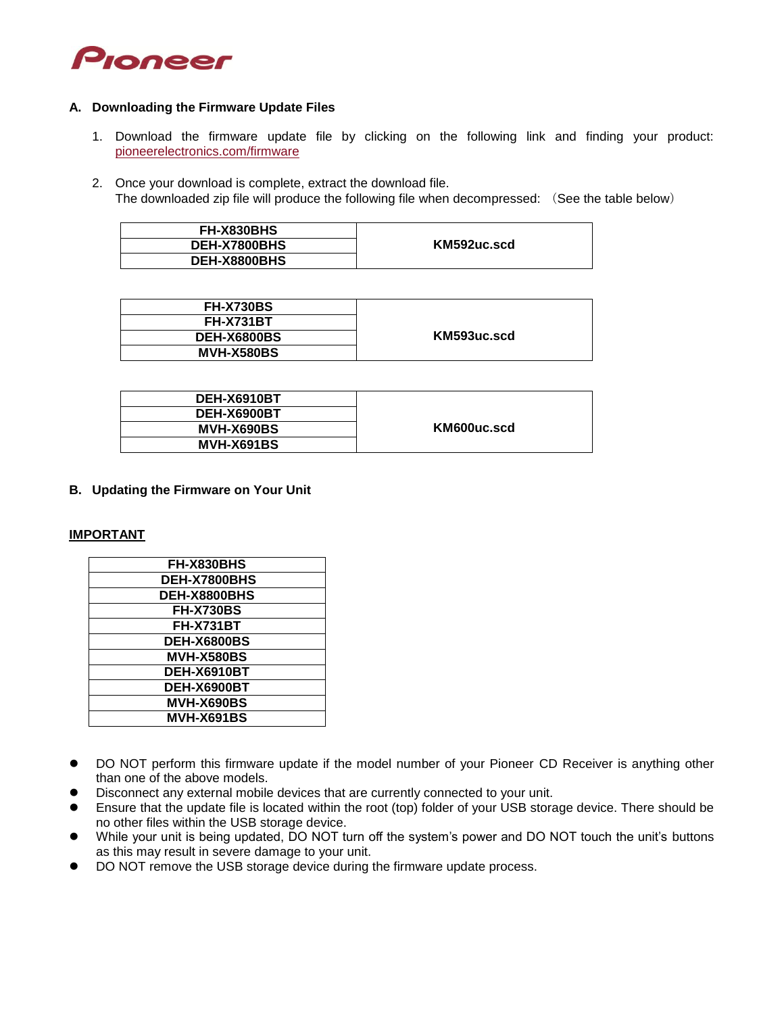![](_page_2_Picture_0.jpeg)

#### **A. Downloading the Firmware Update Files**

- 1. Download the firmware update file by clicking on the following link and finding your product: [pioneerelectronics.com/firmware](http://www.pioneerelectronics.com/firmware)
- 2. Once your download is complete, extract the download file. The downloaded zip file will produce the following file when decompressed: (See the table below)

| FH-X830BHS   | KM592uc.scd |
|--------------|-------------|
| DEH-X7800BHS |             |
| DEH-X8800BHS |             |

| <b>FH-X730BS</b>   |             |
|--------------------|-------------|
| <b>FH-X731BT</b>   |             |
| <b>DEH-X6800BS</b> | KM593uc.scd |
| <b>MVH-X580BS</b>  |             |

| DEH-X6910BT       |             |
|-------------------|-------------|
| DEH-X6900BT       |             |
| MVH-X690BS        | KM600uc.scd |
| <b>MVH-X691BS</b> |             |

**B. Updating the Firmware on Your Unit**

### **IMPORTANT**

| FH-X830BHS         |  |  |
|--------------------|--|--|
| DEH-X7800BHS       |  |  |
| DEH-X8800BHS       |  |  |
| <b>FH-X730BS</b>   |  |  |
| <b>FH-X731BT</b>   |  |  |
| <b>DEH-X6800BS</b> |  |  |
| <b>MVH-X580BS</b>  |  |  |
| <b>DEH-X6910BT</b> |  |  |
| <b>DEH-X6900BT</b> |  |  |
| <b>MVH-X690BS</b>  |  |  |
| <b>MVH-X691BS</b>  |  |  |

- DO NOT perform this firmware update if the model number of your Pioneer CD Receiver is anything other than one of the above models.
- Disconnect any external mobile devices that are currently connected to your unit.
- Ensure that the update file is located within the root (top) folder of your USB storage device. There should be no other files within the USB storage device.
- While your unit is being updated, DO NOT turn off the system's power and DO NOT touch the unit's buttons as this may result in severe damage to your unit.
- DO NOT remove the USB storage device during the firmware update process.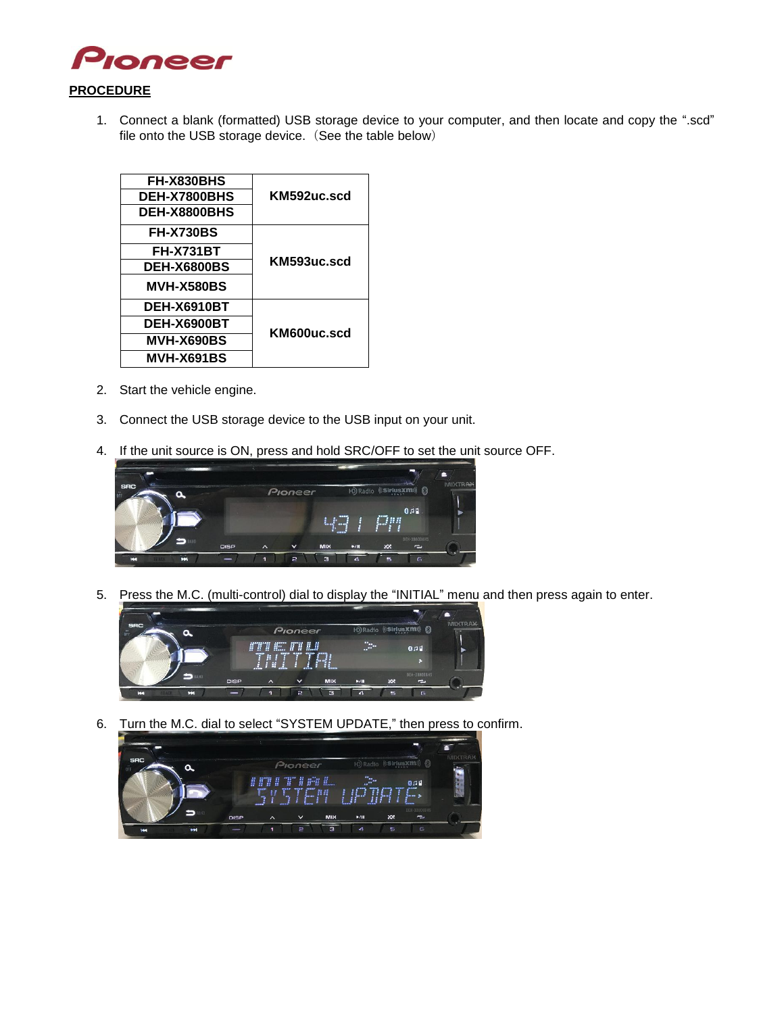![](_page_3_Picture_0.jpeg)

1. Connect a blank (formatted) USB storage device to your computer, and then locate and copy the ".scd" file onto the USB storage device. (See the table below)

| FH-X830BHS         | KM592uc.scd |
|--------------------|-------------|
| DEH-X7800BHS       |             |
| DEH-X8800BHS       |             |
| <b>FH-X730BS</b>   | KM593uc.scd |
| <b>FH-X731BT</b>   |             |
| <b>DEH-X6800BS</b> |             |
| <b>MVH-X580BS</b>  |             |
| <b>DEH-X6910BT</b> | KM600uc.scd |
| DEH-X6900BT        |             |
| MVH-X690BS         |             |
| <b>MVH-X691BS</b>  |             |
|                    |             |

- 2. Start the vehicle engine.
- 3. Connect the USB storage device to the USB input on your unit.
- 4. If the unit source is ON, press and hold SRC/OFF to set the unit source OFF.

![](_page_3_Picture_6.jpeg)

5. Press the M.C. (multi-control) dial to display the "INITIAL" menu and then press again to enter.

![](_page_3_Picture_8.jpeg)

6. Turn the M.C. dial to select "SYSTEM UPDATE," then press to confirm.

![](_page_3_Picture_10.jpeg)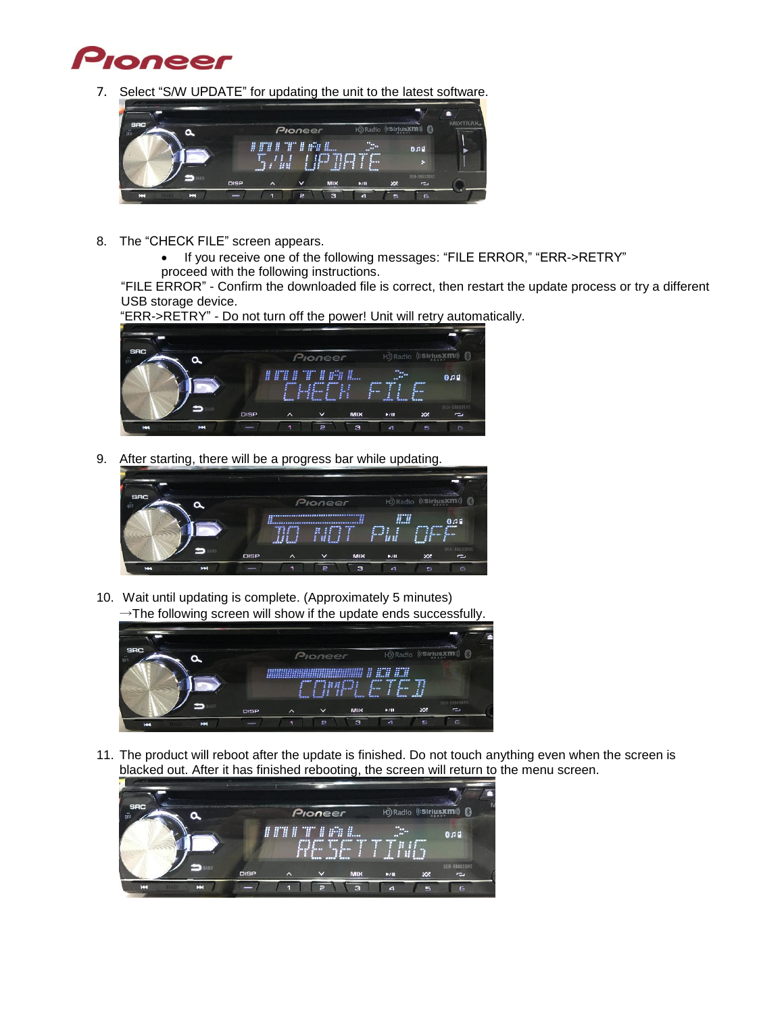![](_page_4_Picture_0.jpeg)

7. Select "S/W UPDATE" for updating the unit to the latest software.

![](_page_4_Picture_2.jpeg)

- 8. The "CHECK FILE" screen appears.
	- If you receive one of the following messages: "FILE ERROR," "ERR->RETRY"
	- proceed with the following instructions.

"FILE ERROR" - Confirm the downloaded file is correct, then restart the update process or try a different USB storage device.

![](_page_4_Picture_7.jpeg)

"ERR->RETRY" - Do not turn off the power! Unit will retry automatically.

9. After starting, there will be a progress bar while updating.

![](_page_4_Picture_10.jpeg)

10. Wait until updating is complete. (Approximately 5 minutes)  $\rightarrow$ The following screen will show if the update ends successfully.

![](_page_4_Picture_12.jpeg)

11. The product will reboot after the update is finished. Do not touch anything even when the screen is blacked out. After it has finished rebooting, the screen will return to the menu screen.

![](_page_4_Picture_14.jpeg)